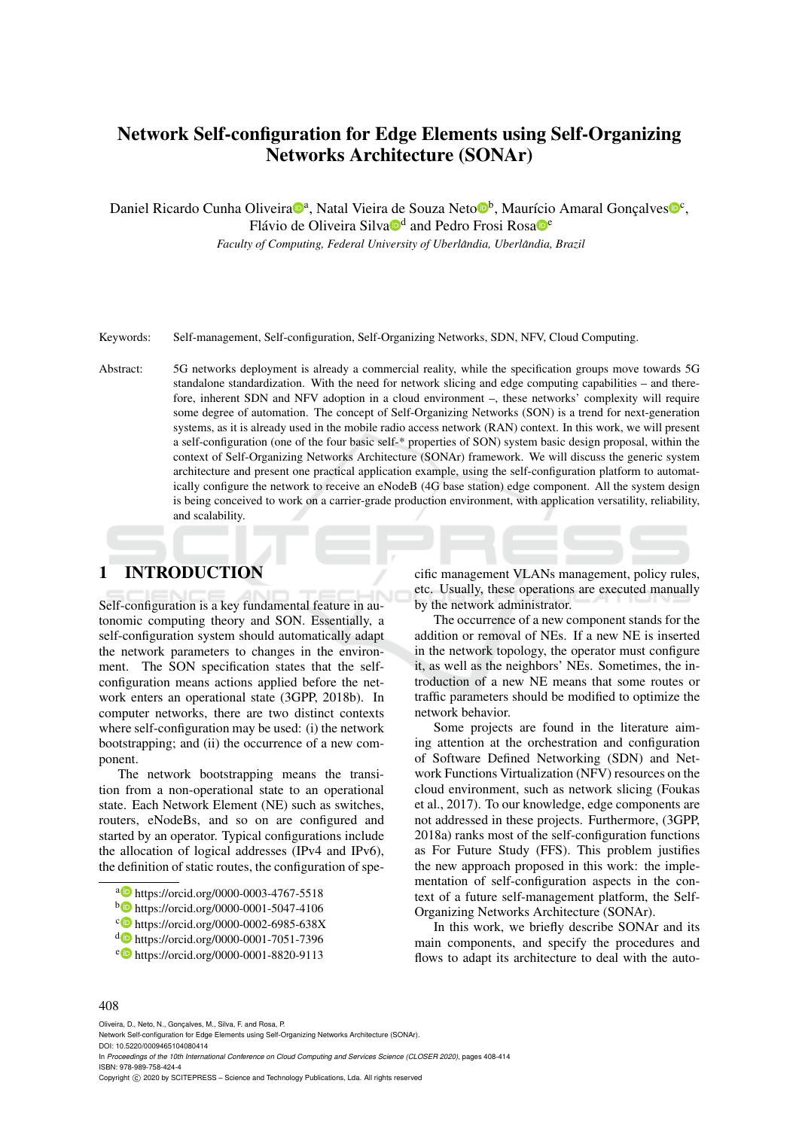# Network Self-configuration for Edge Elements using Self-Organizing Networks Architecture (SONAr)

Daniel Ricardo Cunha Oliveira<sup>nga</sup>, Natal Vieira de Souza Neto<sup>ndo</sup>, Maurício Amaral Gonçalves<sup>noc</sup>,

Flávio de Oliveira Silva<sup>nd</sup> and Pedro Frosi Rosa<sup>nc</sup>

*Faculty of Computing, Federal University of Uberlândia, Uberlândia, Brazil* 

Keywords: Self-management, Self-configuration, Self-Organizing Networks, SDN, NFV, Cloud Computing.

Abstract: 5G networks deployment is already a commercial reality, while the specification groups move towards 5G standalone standardization. With the need for network slicing and edge computing capabilities – and therefore, inherent SDN and NFV adoption in a cloud environment –, these networks' complexity will require some degree of automation. The concept of Self-Organizing Networks (SON) is a trend for next-generation systems, as it is already used in the mobile radio access network (RAN) context. In this work, we will present a self-configuration (one of the four basic self-\* properties of SON) system basic design proposal, within the context of Self-Organizing Networks Architecture (SONAr) framework. We will discuss the generic system architecture and present one practical application example, using the self-configuration platform to automatically configure the network to receive an eNodeB (4G base station) edge component. All the system design is being conceived to work on a carrier-grade production environment, with application versatility, reliability, and scalability.

## 1 INTRODUCTION

Self-configuration is a key fundamental feature in autonomic computing theory and SON. Essentially, a self-configuration system should automatically adapt the network parameters to changes in the environment. The SON specification states that the selfconfiguration means actions applied before the network enters an operational state (3GPP, 2018b). In computer networks, there are two distinct contexts where self-configuration may be used: (i) the network bootstrapping; and (ii) the occurrence of a new component.

The network bootstrapping means the transition from a non-operational state to an operational state. Each Network Element (NE) such as switches, routers, eNodeBs, and so on are configured and started by an operator. Typical configurations include the allocation of logical addresses (IPv4 and IPv6), the definition of static routes, the configuration of spe-

- <sup>b</sup> https://orcid.org/0000-0001-5047-4106
- c https://orcid.org/0000-0002-6985-638X
- <sup>d</sup> https://orcid.org/0000-0001-7051-7396

cific management VLANs management, policy rules, etc. Usually, these operations are executed manually by the network administrator.

The occurrence of a new component stands for the addition or removal of NEs. If a new NE is inserted in the network topology, the operator must configure it, as well as the neighbors' NEs. Sometimes, the introduction of a new NE means that some routes or traffic parameters should be modified to optimize the network behavior.

Some projects are found in the literature aiming attention at the orchestration and configuration of Software Defined Networking (SDN) and Network Functions Virtualization (NFV) resources on the cloud environment, such as network slicing (Foukas et al., 2017). To our knowledge, edge components are not addressed in these projects. Furthermore, (3GPP, 2018a) ranks most of the self-configuration functions as For Future Study (FFS). This problem justifies the new approach proposed in this work: the implementation of self-configuration aspects in the context of a future self-management platform, the Self-Organizing Networks Architecture (SONAr).

In this work, we briefly describe SONAr and its main components, and specify the procedures and flows to adapt its architecture to deal with the auto-

#### 408

Oliveira, D., Neto, N., Gonçalves, M., Silva, F. and Rosa, P.

In *Proceedings of the 10th International Conference on Cloud Computing and Services Science (CLOSER 2020)*, pages 408-414 ISBN: 978-989-758-424-4

Copyright (C) 2020 by SCITEPRESS - Science and Technology Publications, Lda. All rights reserved

a https://orcid.org/0000-0003-4767-5518

<sup>e</sup> https://orcid.org/0000-0001-8820-9113

Network Self-configuration for Edge Elements using Self-Organizing Networks Architecture (SONAr). DOI: 10.5220/0009465104080414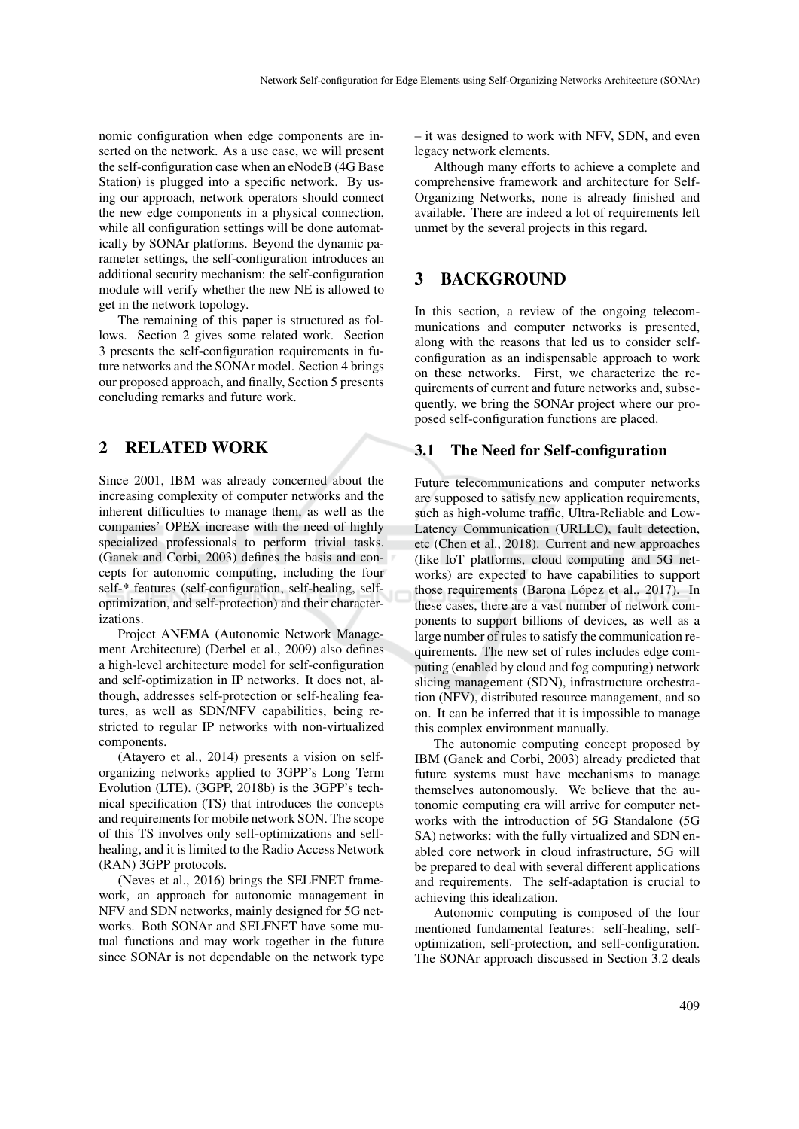nomic configuration when edge components are inserted on the network. As a use case, we will present the self-configuration case when an eNodeB (4G Base Station) is plugged into a specific network. By using our approach, network operators should connect the new edge components in a physical connection, while all configuration settings will be done automatically by SONAr platforms. Beyond the dynamic parameter settings, the self-configuration introduces an additional security mechanism: the self-configuration module will verify whether the new NE is allowed to get in the network topology.

The remaining of this paper is structured as follows. Section 2 gives some related work. Section 3 presents the self-configuration requirements in future networks and the SONAr model. Section 4 brings our proposed approach, and finally, Section 5 presents concluding remarks and future work.

### 2 RELATED WORK

Since 2001, IBM was already concerned about the increasing complexity of computer networks and the inherent difficulties to manage them, as well as the companies' OPEX increase with the need of highly specialized professionals to perform trivial tasks. (Ganek and Corbi, 2003) defines the basis and concepts for autonomic computing, including the four self-\* features (self-configuration, self-healing, selfoptimization, and self-protection) and their characterizations.

Project ANEMA (Autonomic Network Management Architecture) (Derbel et al., 2009) also defines a high-level architecture model for self-configuration and self-optimization in IP networks. It does not, although, addresses self-protection or self-healing features, as well as SDN/NFV capabilities, being restricted to regular IP networks with non-virtualized components.

(Atayero et al., 2014) presents a vision on selforganizing networks applied to 3GPP's Long Term Evolution (LTE). (3GPP, 2018b) is the 3GPP's technical specification (TS) that introduces the concepts and requirements for mobile network SON. The scope of this TS involves only self-optimizations and selfhealing, and it is limited to the Radio Access Network (RAN) 3GPP protocols.

(Neves et al., 2016) brings the SELFNET framework, an approach for autonomic management in NFV and SDN networks, mainly designed for 5G networks. Both SONAr and SELFNET have some mutual functions and may work together in the future since SONAr is not dependable on the network type – it was designed to work with NFV, SDN, and even legacy network elements.

Although many efforts to achieve a complete and comprehensive framework and architecture for Self-Organizing Networks, none is already finished and available. There are indeed a lot of requirements left unmet by the several projects in this regard.

### 3 BACKGROUND

In this section, a review of the ongoing telecommunications and computer networks is presented, along with the reasons that led us to consider selfconfiguration as an indispensable approach to work on these networks. First, we characterize the requirements of current and future networks and, subsequently, we bring the SONAr project where our proposed self-configuration functions are placed.

#### 3.1 The Need for Self-configuration

Future telecommunications and computer networks are supposed to satisfy new application requirements, such as high-volume traffic, Ultra-Reliable and Low-Latency Communication (URLLC), fault detection, etc (Chen et al., 2018). Current and new approaches (like IoT platforms, cloud computing and 5G networks) are expected to have capabilities to support those requirements (Barona López et al., 2017). In these cases, there are a vast number of network components to support billions of devices, as well as a large number of rules to satisfy the communication requirements. The new set of rules includes edge computing (enabled by cloud and fog computing) network slicing management (SDN), infrastructure orchestration (NFV), distributed resource management, and so on. It can be inferred that it is impossible to manage this complex environment manually.

The autonomic computing concept proposed by IBM (Ganek and Corbi, 2003) already predicted that future systems must have mechanisms to manage themselves autonomously. We believe that the autonomic computing era will arrive for computer networks with the introduction of 5G Standalone (5G SA) networks: with the fully virtualized and SDN enabled core network in cloud infrastructure, 5G will be prepared to deal with several different applications and requirements. The self-adaptation is crucial to achieving this idealization.

Autonomic computing is composed of the four mentioned fundamental features: self-healing, selfoptimization, self-protection, and self-configuration. The SONAr approach discussed in Section 3.2 deals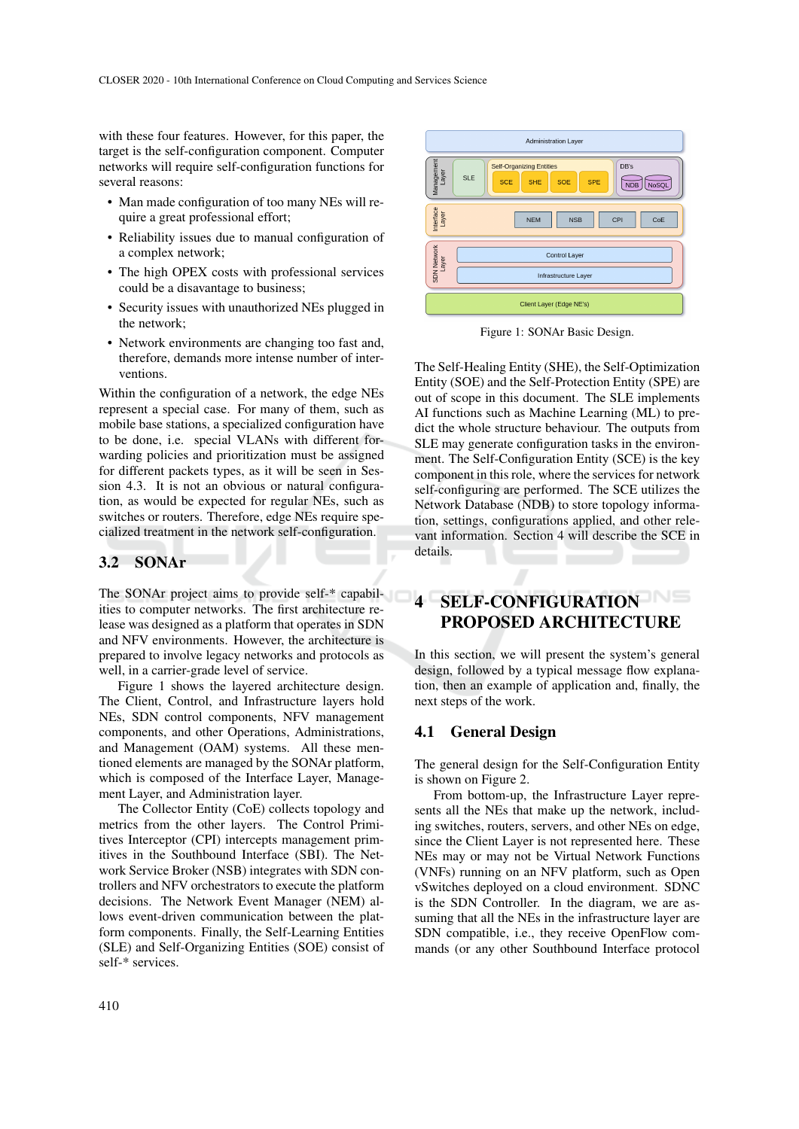with these four features. However, for this paper, the target is the self-configuration component. Computer networks will require self-configuration functions for several reasons:

- Man made configuration of too many NEs will require a great professional effort;
- Reliability issues due to manual configuration of a complex network;
- The high OPEX costs with professional services could be a disavantage to business;
- Security issues with unauthorized NEs plugged in the network;
- Network environments are changing too fast and, therefore, demands more intense number of interventions.

Within the configuration of a network, the edge NEs represent a special case. For many of them, such as mobile base stations, a specialized configuration have to be done, i.e. special VLANs with different forwarding policies and prioritization must be assigned for different packets types, as it will be seen in Session 4.3. It is not an obvious or natural configuration, as would be expected for regular NEs, such as switches or routers. Therefore, edge NEs require specialized treatment in the network self-configuration.

### 3.2 SONAr

The SONAr project aims to provide self-\* capabilities to computer networks. The first architecture release was designed as a platform that operates in SDN and NFV environments. However, the architecture is prepared to involve legacy networks and protocols as well, in a carrier-grade level of service.

Figure 1 shows the layered architecture design. The Client, Control, and Infrastructure layers hold NEs, SDN control components, NFV management components, and other Operations, Administrations, and Management (OAM) systems. All these mentioned elements are managed by the SONAr platform, which is composed of the Interface Layer, Management Layer, and Administration layer.

The Collector Entity (CoE) collects topology and metrics from the other layers. The Control Primitives Interceptor (CPI) intercepts management primitives in the Southbound Interface (SBI). The Network Service Broker (NSB) integrates with SDN controllers and NFV orchestrators to execute the platform decisions. The Network Event Manager (NEM) allows event-driven communication between the platform components. Finally, the Self-Learning Entities (SLE) and Self-Organizing Entities (SOE) consist of self-\* services.



Figure 1: SONAr Basic Design.

The Self-Healing Entity (SHE), the Self-Optimization Entity (SOE) and the Self-Protection Entity (SPE) are out of scope in this document. The SLE implements AI functions such as Machine Learning (ML) to predict the whole structure behaviour. The outputs from SLE may generate configuration tasks in the environment. The Self-Configuration Entity (SCE) is the key component in this role, where the services for network self-configuring are performed. The SCE utilizes the Network Database (NDB) to store topology information, settings, configurations applied, and other relevant information. Section 4 will describe the SCE in details.

## 4 SELF-CONFIGURATION PROPOSED ARCHITECTURE

In this section, we will present the system's general design, followed by a typical message flow explanation, then an example of application and, finally, the next steps of the work.

#### 4.1 General Design

The general design for the Self-Configuration Entity is shown on Figure 2.

From bottom-up, the Infrastructure Layer represents all the NEs that make up the network, including switches, routers, servers, and other NEs on edge, since the Client Layer is not represented here. These NEs may or may not be Virtual Network Functions (VNFs) running on an NFV platform, such as Open vSwitches deployed on a cloud environment. SDNC is the SDN Controller. In the diagram, we are assuming that all the NEs in the infrastructure layer are SDN compatible, i.e., they receive OpenFlow commands (or any other Southbound Interface protocol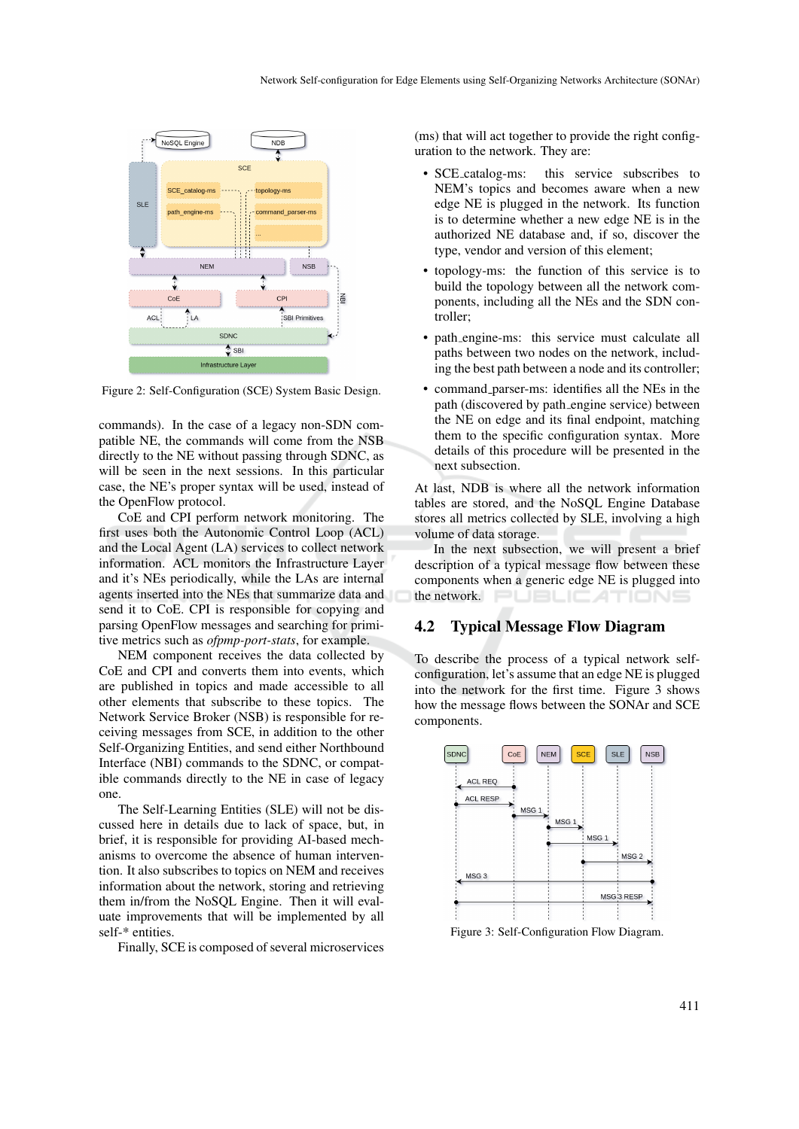

Figure 2: Self-Configuration (SCE) System Basic Design.

commands). In the case of a legacy non-SDN compatible NE, the commands will come from the NSB directly to the NE without passing through SDNC, as will be seen in the next sessions. In this particular case, the NE's proper syntax will be used, instead of the OpenFlow protocol.

CoE and CPI perform network monitoring. The first uses both the Autonomic Control Loop (ACL) and the Local Agent (LA) services to collect network information. ACL monitors the Infrastructure Layer and it's NEs periodically, while the LAs are internal agents inserted into the NEs that summarize data and send it to CoE. CPI is responsible for copying and parsing OpenFlow messages and searching for primitive metrics such as *ofpmp-port-stats*, for example.

NEM component receives the data collected by CoE and CPI and converts them into events, which are published in topics and made accessible to all other elements that subscribe to these topics. The Network Service Broker (NSB) is responsible for receiving messages from SCE, in addition to the other Self-Organizing Entities, and send either Northbound Interface (NBI) commands to the SDNC, or compatible commands directly to the NE in case of legacy one.

The Self-Learning Entities (SLE) will not be discussed here in details due to lack of space, but, in brief, it is responsible for providing AI-based mechanisms to overcome the absence of human intervention. It also subscribes to topics on NEM and receives information about the network, storing and retrieving them in/from the NoSQL Engine. Then it will evaluate improvements that will be implemented by all self-\* entities.

Finally, SCE is composed of several microservices

(ms) that will act together to provide the right configuration to the network. They are:

- SCE\_catalog-ms: this service subscribes to NEM's topics and becomes aware when a new edge NE is plugged in the network. Its function is to determine whether a new edge NE is in the authorized NE database and, if so, discover the type, vendor and version of this element;
- topology-ms: the function of this service is to build the topology between all the network components, including all the NEs and the SDN controller;
- path engine-ms: this service must calculate all paths between two nodes on the network, including the best path between a node and its controller;
- command parser-ms: identifies all the NEs in the path (discovered by path engine service) between the NE on edge and its final endpoint, matching them to the specific configuration syntax. More details of this procedure will be presented in the next subsection.

At last, NDB is where all the network information tables are stored, and the NoSQL Engine Database stores all metrics collected by SLE, involving a high volume of data storage.

In the next subsection, we will present a brief description of a typical message flow between these components when a generic edge NE is plugged into the network. TIONS

#### 4.2 Typical Message Flow Diagram

To describe the process of a typical network selfconfiguration, let's assume that an edge NE is plugged into the network for the first time. Figure 3 shows how the message flows between the SONAr and SCE components.



Figure 3: Self-Configuration Flow Diagram.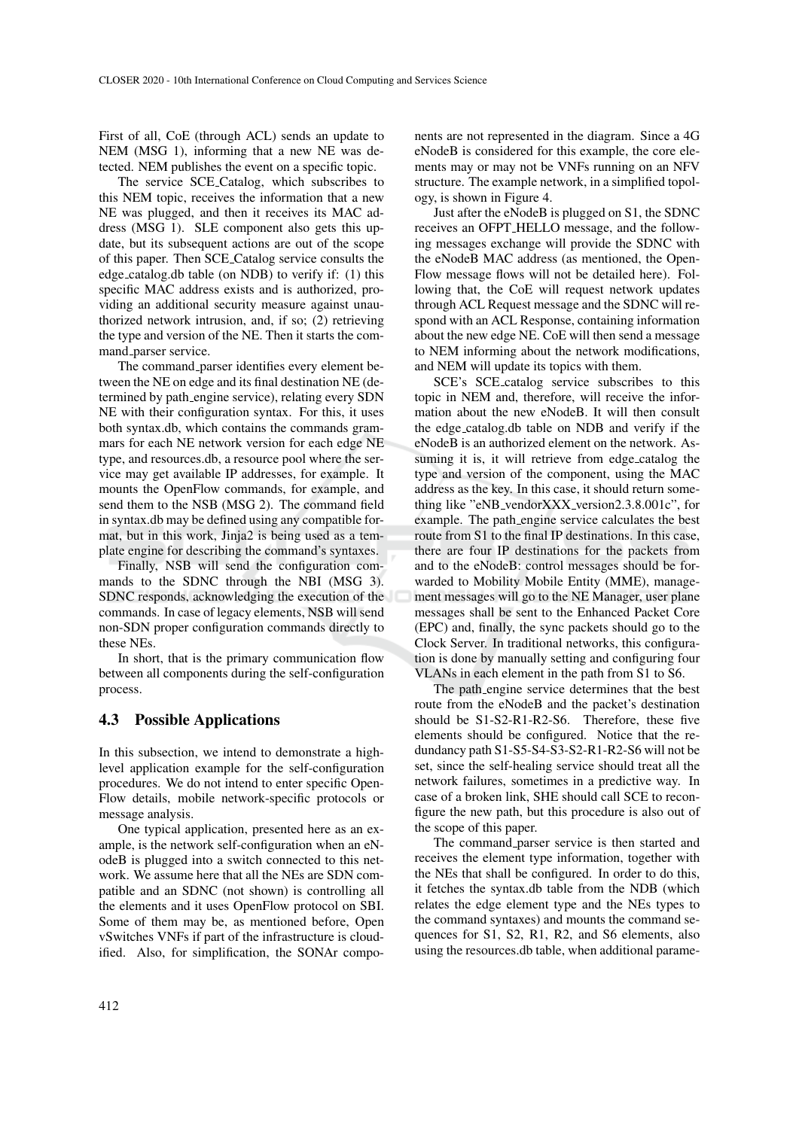First of all, CoE (through ACL) sends an update to NEM (MSG 1), informing that a new NE was detected. NEM publishes the event on a specific topic.

The service SCE Catalog, which subscribes to this NEM topic, receives the information that a new NE was plugged, and then it receives its MAC address (MSG 1). SLE component also gets this update, but its subsequent actions are out of the scope of this paper. Then SCE Catalog service consults the edge catalog.db table (on NDB) to verify if: (1) this specific MAC address exists and is authorized, providing an additional security measure against unauthorized network intrusion, and, if so; (2) retrieving the type and version of the NE. Then it starts the command parser service.

The command parser identifies every element between the NE on edge and its final destination NE (determined by path engine service), relating every SDN NE with their configuration syntax. For this, it uses both syntax.db, which contains the commands grammars for each NE network version for each edge NE type, and resources.db, a resource pool where the service may get available IP addresses, for example. It mounts the OpenFlow commands, for example, and send them to the NSB (MSG 2). The command field in syntax.db may be defined using any compatible format, but in this work, Jinja2 is being used as a template engine for describing the command's syntaxes.

Finally, NSB will send the configuration commands to the SDNC through the NBI (MSG 3). SDNC responds, acknowledging the execution of the commands. In case of legacy elements, NSB will send non-SDN proper configuration commands directly to these NEs.

In short, that is the primary communication flow between all components during the self-configuration process.

#### 4.3 Possible Applications

In this subsection, we intend to demonstrate a highlevel application example for the self-configuration procedures. We do not intend to enter specific Open-Flow details, mobile network-specific protocols or message analysis.

One typical application, presented here as an example, is the network self-configuration when an eNodeB is plugged into a switch connected to this network. We assume here that all the NEs are SDN compatible and an SDNC (not shown) is controlling all the elements and it uses OpenFlow protocol on SBI. Some of them may be, as mentioned before, Open vSwitches VNFs if part of the infrastructure is cloudified. Also, for simplification, the SONAr components are not represented in the diagram. Since a 4G eNodeB is considered for this example, the core elements may or may not be VNFs running on an NFV structure. The example network, in a simplified topology, is shown in Figure 4.

Just after the eNodeB is plugged on S1, the SDNC receives an OFPT HELLO message, and the following messages exchange will provide the SDNC with the eNodeB MAC address (as mentioned, the Open-Flow message flows will not be detailed here). Following that, the CoE will request network updates through ACL Request message and the SDNC will respond with an ACL Response, containing information about the new edge NE. CoE will then send a message to NEM informing about the network modifications, and NEM will update its topics with them.

SCE's SCE catalog service subscribes to this topic in NEM and, therefore, will receive the information about the new eNodeB. It will then consult the edge catalog.db table on NDB and verify if the eNodeB is an authorized element on the network. Assuming it is, it will retrieve from edge catalog the type and version of the component, using the MAC address as the key. In this case, it should return something like "eNB vendorXXX version2.3.8.001c", for example. The path\_engine service calculates the best route from S1 to the final IP destinations. In this case, there are four IP destinations for the packets from and to the eNodeB: control messages should be forwarded to Mobility Mobile Entity (MME), management messages will go to the NE Manager, user plane messages shall be sent to the Enhanced Packet Core (EPC) and, finally, the sync packets should go to the Clock Server. In traditional networks, this configuration is done by manually setting and configuring four VLANs in each element in the path from S1 to S6.

The path engine service determines that the best route from the eNodeB and the packet's destination should be S1-S2-R1-R2-S6. Therefore, these five elements should be configured. Notice that the redundancy path S1-S5-S4-S3-S2-R1-R2-S6 will not be set, since the self-healing service should treat all the network failures, sometimes in a predictive way. In case of a broken link, SHE should call SCE to reconfigure the new path, but this procedure is also out of the scope of this paper.

The command parser service is then started and receives the element type information, together with the NEs that shall be configured. In order to do this, it fetches the syntax.db table from the NDB (which relates the edge element type and the NEs types to the command syntaxes) and mounts the command sequences for S1, S2, R1, R2, and S6 elements, also using the resources.db table, when additional parame-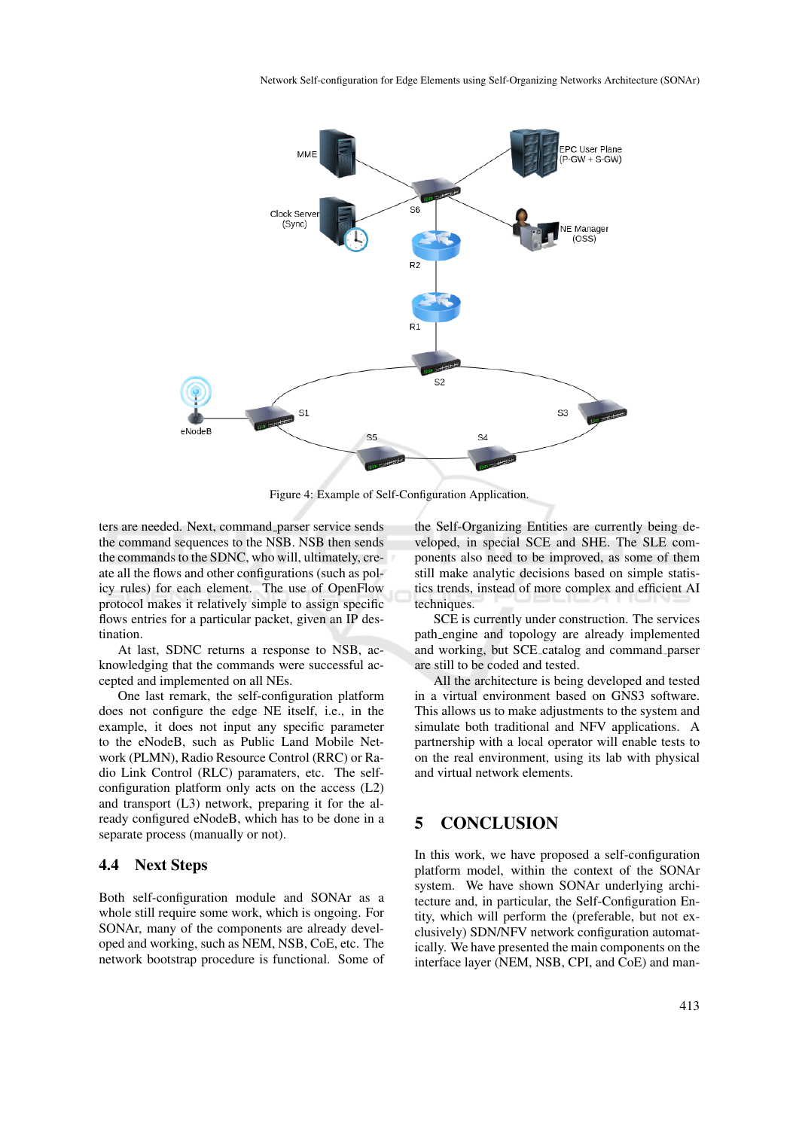

Figure 4: Example of Self-Configuration Application.

ters are needed. Next, command parser service sends the command sequences to the NSB. NSB then sends the commands to the SDNC, who will, ultimately, create all the flows and other configurations (such as policy rules) for each element. The use of OpenFlow protocol makes it relatively simple to assign specific flows entries for a particular packet, given an IP destination.

At last, SDNC returns a response to NSB, acknowledging that the commands were successful accepted and implemented on all NEs.

One last remark, the self-configuration platform does not configure the edge NE itself, i.e., in the example, it does not input any specific parameter to the eNodeB, such as Public Land Mobile Network (PLMN), Radio Resource Control (RRC) or Radio Link Control (RLC) paramaters, etc. The selfconfiguration platform only acts on the access (L2) and transport (L3) network, preparing it for the already configured eNodeB, which has to be done in a separate process (manually or not).

#### 4.4 Next Steps

Both self-configuration module and SONAr as a whole still require some work, which is ongoing. For SONAr, many of the components are already developed and working, such as NEM, NSB, CoE, etc. The network bootstrap procedure is functional. Some of

the Self-Organizing Entities are currently being developed, in special SCE and SHE. The SLE components also need to be improved, as some of them still make analytic decisions based on simple statistics trends, instead of more complex and efficient AI techniques.

SCE is currently under construction. The services path engine and topology are already implemented and working, but SCE catalog and command parser are still to be coded and tested.

All the architecture is being developed and tested in a virtual environment based on GNS3 software. This allows us to make adjustments to the system and simulate both traditional and NFV applications. A partnership with a local operator will enable tests to on the real environment, using its lab with physical and virtual network elements.

## 5 CONCLUSION

In this work, we have proposed a self-configuration platform model, within the context of the SONAr system. We have shown SONAr underlying architecture and, in particular, the Self-Configuration Entity, which will perform the (preferable, but not exclusively) SDN/NFV network configuration automatically. We have presented the main components on the interface layer (NEM, NSB, CPI, and CoE) and man